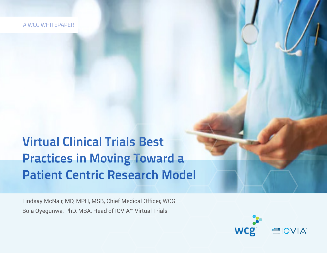A WCG WHITEPAPER

# **Virtual Clinical Trials Best Practices in Moving Toward a Patient Centric Research Model**

Lindsay McNair, MD, MPH, MSB, Chief Medical Officer, WCG Bola Oyegunwa, PhD, MBA, Head of IQVIA™ Virtual Trials

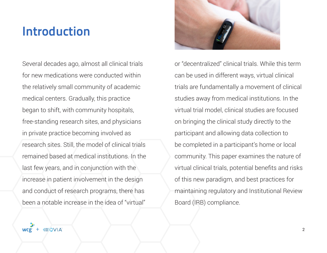## **Introduction**

Several decades ago, almost all clinical trials for new medications were conducted within the relatively small community of academic medical centers. Gradually, this practice began to shift, with community hospitals, free-standing research sites, and physicians in private practice becoming involved as research sites. Still, the model of clinical trials remained based at medical institutions. In the last few years, and in conjunction with the increase in patient involvement in the design and conduct of research programs, there has been a notable increase in the idea of "virtual"



or "decentralized" clinical trials. While this term can be used in different ways, virtual clinical trials are fundamentally a movement of clinical studies away from medical institutions. In the virtual trial model, clinical studies are focused on bringing the clinical study directly to the participant and allowing data collection to be completed in a participant's home or local community. This paper examines the nature of virtual clinical trials, potential benefits and risks of this new paradigm, and best practices for maintaining regulatory and Institutional Review Board (IRB) compliance.

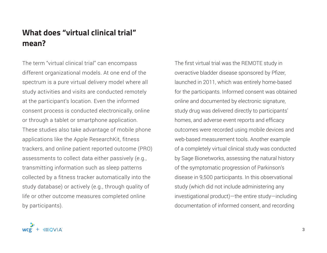### **What does "virtual clinical trial" mean?**

The term "virtual clinical trial" can encompass different organizational models. At one end of the spectrum is a pure virtual delivery model where all study activities and visits are conducted remotely at the participant's location. Even the informed consent process is conducted electronically, online or through a tablet or smartphone application. These studies also take advantage of mobile phone applications like the Apple ResearchKit, fitness trackers, and online patient reported outcome (PRO) assessments to collect data either passively (e.g., transmitting information such as sleep patterns collected by a fitness tracker automatically into the study database) or actively (e.g., through quality of life or other outcome measures completed online by participants).

The first virtual trial was the REMOTE study in overactive bladder disease sponsored by Pfizer, launched in 2011, which was entirely home-based for the participants. Informed consent was obtained online and documented by electronic signature, study drug was delivered directly to participants' homes, and adverse event reports and efficacy outcomes were recorded using mobile devices and web-based measurement tools. Another example of a completely virtual clinical study was conducted by Sage Bionetworks, assessing the natural history of the symptomatic progression of Parkinson's disease in 9,500 participants. In this observational study (which did not include administering any investigational product)—the entire study—including documentation of informed consent, and recording

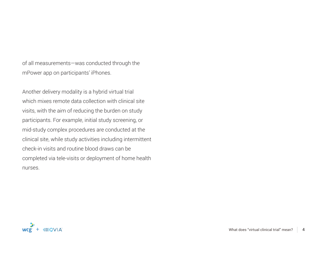of all measurements—was conducted through the mPower app on participants' iPhones.

Another delivery modality is a hybrid virtual trial which mixes remote data collection with clinical site visits, with the aim of reducing the burden on study participants. For example, initial study screening, or mid-study complex procedures are conducted at the clinical site, while study activities including intermittent check-in visits and routine blood draws can be completed via tele-visits or deployment of home health nurses.

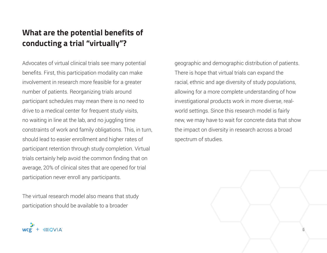## **What are the potential benefits of conducting a trial "virtually"?**

Advocates of virtual clinical trials see many potential benefits. First, this participation modality can make involvement in research more feasible for a greater number of patients. Reorganizing trials around participant schedules may mean there is no need to drive to a medical center for frequent study visits, no waiting in line at the lab, and no juggling time constraints of work and family obligations. This, in turn, should lead to easier enrollment and higher rates of participant retention through study completion. Virtual trials certainly help avoid the common finding that on average, 20% of clinical sites that are opened for trial participation never enroll any participants.

The virtual research model also means that study participation should be available to a broader

**WCQ** 

geographic and demographic distribution of patients. There is hope that virtual trials can expand the racial, ethnic and age diversity of study populations, allowing for a more complete understanding of how investigational products work in more diverse, realworld settings. Since this research model is fairly new, we may have to wait for concrete data that show the impact on diversity in research across a broad spectrum of studies.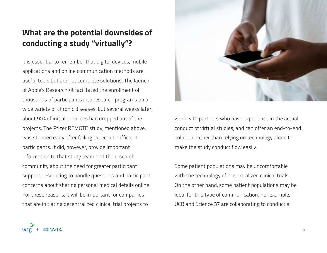## **What are the potential downsides of conducting a study "virtually"?**

It is essential to remember that digital devices, mobile applications and online communication methods are useful tools but are not complete solutions. The launch of Apple's ResearchKit facilitated the enrollment of thousands of participants into research programs on a wide variety of chronic diseases, but several weeks later, about 90% of initial enrollees had dropped out of the projects. The Pfizer REMOTE study, mentioned above, was stopped early after failing to recruit sufficient participants. It did, however, provide important information to that study team and the research community about the need for greater participant support, resourcing to handle questions and participant concerns about sharing personal medical details online. For these reasons, it will be important for companies that are initiating decentralized clinical trial projects to



work with partners who have experience in the actual conduct of virtual studies, and can offer an end-to-end solution, rather than relying on technology alone to make the study conduct flow easily.

Some patient populations may be uncomfortable with the technology of decentralized clinical trials. On the other hand, some patient populations may be ideal for this type of communication. For example, UCB and Science 37 are collaborating to conduct a

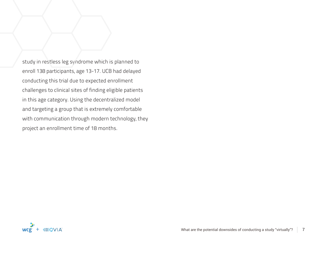study in restless leg syndrome which is planned to enroll 138 participants, age 13-17. UCB had delayed conducting this trial due to expected enrollment challenges to clinical sites of finding eligible patients in this age category. Using the decentralized model and targeting a group that is extremely comfortable with communication through modern technology, they project an enrollment time of 18 months.

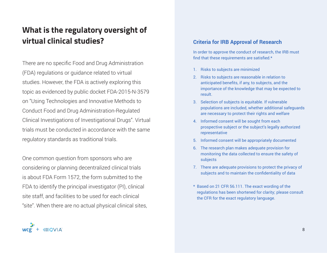## **What is the regulatory oversight of virtual clinical studies?**

There are no specific Food and Drug Administration (FDA) regulations or guidance related to virtual studies. However, the FDA is actively exploring this topic as evidenced by public docket FDA-2015-N-3579 on "Using Technologies and Innovative Methods to Conduct Food and Drug Administration-Regulated Clinical Investigations of Investigational Drugs". Virtual trials must be conducted in accordance with the same regulatory standards as traditional trials.

One common question from sponsors who are considering or planning decentralized clinical trials is about FDA Form 1572, the form submitted to the FDA to identify the principal investigator (PI), clinical site staff, and facilities to be used for each clinical "site". When there are no actual physical clinical sites,

#### **Criteria for IRB Approval of Research**

In order to approve the conduct of research, the IRB must find that these requirements are satisfied.\*

- 1. Risks to subjects are minimized
- 2. Risks to subjects are reasonable in relation to anticipated benefits, if any, to subjects, and the importance of the knowledge that may be expected to result.
- 3. Selection of subjects is equitable. If vulnerable populations are included, whether additional safeguards are necessary to protect their rights and welfare
- 4. Informed consent will be sought from each prospective subject or the subject's legally authorized representative
- 5. Informed consent will be appropriately documented
- 6. The research plan makes adequate provision for monitoring the data collected to ensure the safety of subjects
- 7. There are adequate provisions to protect the privacy of subjects and to maintain the confidentiality of data
- \* Based on 21 CFR 56.111. The exact wording of the regulations has been shortened for clarity; please consult the CFR for the exact regulatory language.

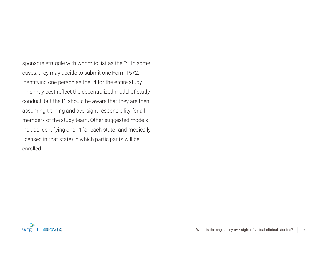sponsors struggle with whom to list as the PI. In some cases, they may decide to submit one Form 1572, identifying one person as the PI for the entire study. This may best reflect the decentralized model of study conduct, but the PI should be aware that they are then assuming training and oversight responsibility for all members of the study team. Other suggested models include identifying one PI for each state (and medicallylicensed in that state) in which participants will be enrolled.

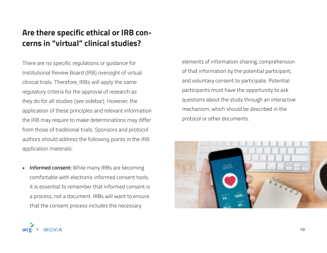### **Are there specific ethical or IRB concerns in "virtual" clinical studies?**

There are no specific regulations or guidance for Institutional Review Board (IRB) oversight of virtual clinical trials. Therefore, IRBs will apply the same regulatory criteria for the approval of research as they do for all studies (see sidebar). However, the application of these principles and relevant information the IRB may require to make determinations may differ from those of traditional trials. Sponsors and protocol authors should address the following points in the IRB application materials:

**• Informed consent:** While many IRBs are becoming comfortable with electronic informed consent tools, it is essential to remember that informed consent is a process, not a document. IRBs will want to ensure that the consent process includes the necessary

elements of information sharing, comprehension of that information by the potential participant, and voluntary consent to participate. Potential participants must have the opportunity to ask questions about the study through an interactive mechanism, which should be described in the protocol or other documents.



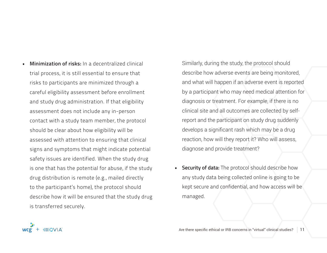**• Minimization of risks:** In a decentralized clinical trial process, it is still essential to ensure that risks to participants are minimized through a careful eligibility assessment before enrollment and study drug administration. If that eligibility assessment does not include any in-person contact with a study team member, the protocol should be clear about how eligibility will be assessed with attention to ensuring that clinical signs and symptoms that might indicate potential safety issues are identified. When the study drug is one that has the potential for abuse, if the study drug distribution is remote (e.g., mailed directly to the participant's home), the protocol should describe how it will be ensured that the study drug is transferred securely.

Similarly, during the study, the protocol should describe how adverse events are being monitored, and what will happen if an adverse event is reported by a participant who may need medical attention for diagnosis or treatment. For example, if there is no clinical site and all outcomes are collected by selfreport and the participant on study drug suddenly develops a significant rash which may be a drug reaction, how will they report it? Who will assess, diagnose and provide treatment?

**• Security of data:** The protocol should describe how any study data being collected online is going to be kept secure and confidential, and how access will be managed.

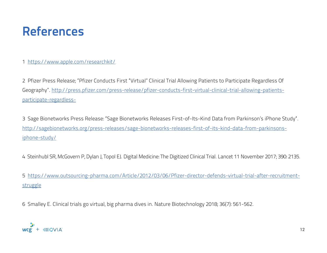## **References**

1 https://www.apple.com/researchkit/

2 Pfizer Press Release; "Pfizer Conducts First "Virtual" Clinical Trial Allowing Patients to Participate Regardless Of Geography". http://press.pfizer.com/press-release/pfizer-conducts-first-virtual-clinical-trial-allowing-patientsparticipate-regardless-

3 Sage Bionetworks Press Release: "Sage Bionetworks Releases First-of-Its-Kind Data from Parkinson's iPhone Study". http://sagebionetworks.org/press-releases/sage-bionetworks-releases-first-of-its-kind-data-from-parkinsonsiphone-study/

4 Steinhubl SR, McGovern P, Dylan J, Topol EJ. Digital Medicine: The Digitized Clinical Trial. Lancet 11 November 2017; 390: 2135.

5 https://www.outsourcing-pharma.com/Article/2012/03/06/Pfizer-director-defends-virtual-trial-after-recruitmentstruggle

6 Smalley E. Clinical trials go virtual, big pharma dives in. Nature Biotechnology 2018; 36(7): 561-562.

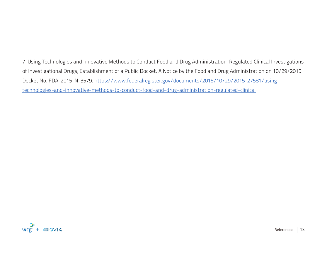7 Using Technologies and Innovative Methods to Conduct Food and Drug Administration-Regulated Clinical Investigations of Investigational Drugs; Establishment of a Public Docket. A Notice by the Food and Drug Administration on 10/29/2015. Docket No. FDA-2015-N-3579. https://www.federalregister.gov/documents/2015/10/29/2015-27581/usingtechnologies-and-innovative-methods-to-conduct-food-and-drug-administration-regulated-clinical

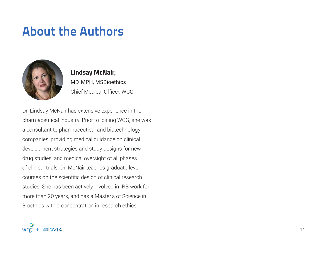## **About the Authors**



**Lindsay McNair,** MD, MPH, MSBioethics Chief Medical Officer, WCG.

Dr. Lindsay McNair has extensive experience in the pharmaceutical industry. Prior to joining WCG, she was a consultant to pharmaceutical and biotechnology companies, providing medical guidance on clinical development strategies and study designs for new drug studies, and medical oversight of all phases of clinical trials. Dr. McNair teaches graduate-level courses on the scientific design of clinical research studies. She has been actively involved in IRB work for more than 20 years, and has a Master's of Science in Bioethics with a concentration in research ethics.